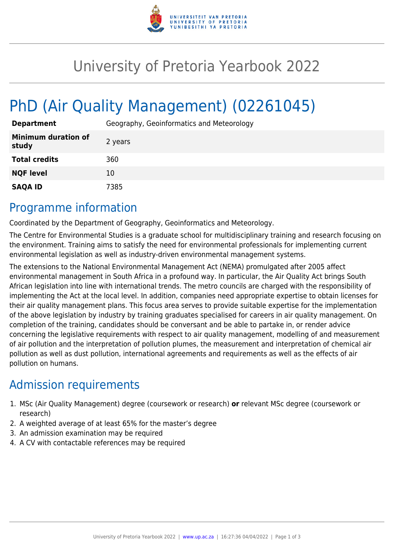

## University of Pretoria Yearbook 2022

# PhD (Air Quality Management) (02261045)

| <b>Department</b>                   | Geography, Geoinformatics and Meteorology |
|-------------------------------------|-------------------------------------------|
| <b>Minimum duration of</b><br>study | 2 years                                   |
| <b>Total credits</b>                | 360                                       |
| <b>NQF level</b>                    | 10                                        |
| <b>SAQA ID</b>                      | 7385                                      |

## Programme information

Coordinated by the Department of Geography, Geoinformatics and Meteorology.

The Centre for Environmental Studies is a graduate school for multidisciplinary training and research focusing on the environment. Training aims to satisfy the need for environmental professionals for implementing current environmental legislation as well as industry-driven environmental management systems.

The extensions to the National Environmental Management Act (NEMA) promulgated after 2005 affect environmental management in South Africa in a profound way. In particular, the Air Quality Act brings South African legislation into line with international trends. The metro councils are charged with the responsibility of implementing the Act at the local level. In addition, companies need appropriate expertise to obtain licenses for their air quality management plans. This focus area serves to provide suitable expertise for the implementation of the above legislation by industry by training graduates specialised for careers in air quality management. On completion of the training, candidates should be conversant and be able to partake in, or render advice concerning the legislative requirements with respect to air quality management, modelling of and measurement of air pollution and the interpretation of pollution plumes, the measurement and interpretation of chemical air pollution as well as dust pollution, international agreements and requirements as well as the effects of air pollution on humans.

## Admission requirements

- 1. MSc (Air Quality Management) degree (coursework or research) **or** relevant MSc degree (coursework or research)
- 2. A weighted average of at least 65% for the master's degree
- 3. An admission examination may be required
- 4. A CV with contactable references may be required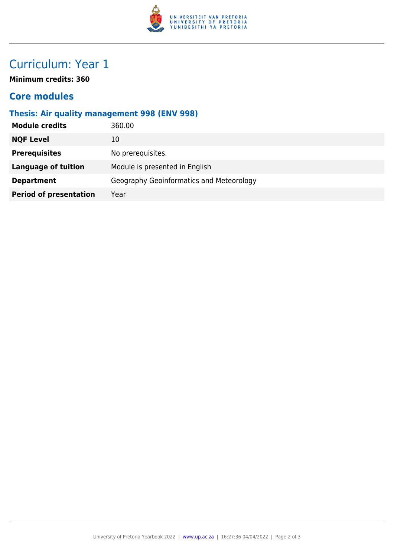

## Curriculum: Year 1

**Minimum credits: 360**

#### **Core modules**

#### **Thesis: Air quality management 998 (ENV 998)**

| <b>Module credits</b>         | 360.00                                   |
|-------------------------------|------------------------------------------|
| <b>NQF Level</b>              | 10                                       |
| <b>Prerequisites</b>          | No prerequisites.                        |
| <b>Language of tuition</b>    | Module is presented in English           |
| <b>Department</b>             | Geography Geoinformatics and Meteorology |
| <b>Period of presentation</b> | Year                                     |